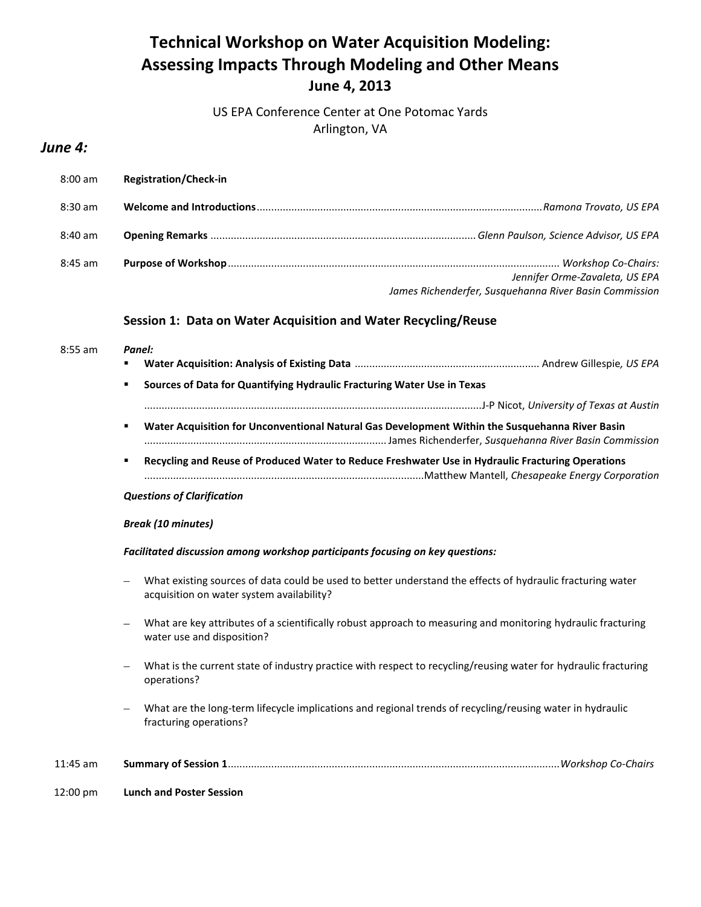# **Technical Workshop on Water Acquisition Modeling: Assessing Impacts Through Modeling and Other Means June 4, 2013**

US EPA Conference Center at One Potomac Yards Arlington, VA

## *June 4:*

| $8:00$ am         | <b>Registration/Check-in</b> |                                                        |
|-------------------|------------------------------|--------------------------------------------------------|
| $8:30 \text{ am}$ |                              |                                                        |
| $8:40$ am         |                              |                                                        |
| 8:45 am           |                              | Jennifer Orme-Zavaleta, US EPA                         |
|                   |                              | James Richenderfer, Susquehanna River Basin Commission |

#### **Session 1: Data on Water Acquisition and Water Recycling/Reuse**

| $8:55$ am | Panel:                                                                                                                                                  |  |  |
|-----------|---------------------------------------------------------------------------------------------------------------------------------------------------------|--|--|
|           | Sources of Data for Quantifying Hydraulic Fracturing Water Use in Texas<br>٠                                                                            |  |  |
|           |                                                                                                                                                         |  |  |
|           | Water Acquisition for Unconventional Natural Gas Development Within the Susquehanna River Basin<br>٠                                                    |  |  |
|           | Recycling and Reuse of Produced Water to Reduce Freshwater Use in Hydraulic Fracturing Operations<br>٠                                                  |  |  |
|           | <b>Questions of Clarification</b>                                                                                                                       |  |  |
|           | <b>Break (10 minutes)</b>                                                                                                                               |  |  |
|           | Facilitated discussion among workshop participants focusing on key questions:                                                                           |  |  |
|           | What existing sources of data could be used to better understand the effects of hydraulic fracturing water<br>acquisition on water system availability? |  |  |
|           | What are key attributes of a scientifically robust approach to measuring and monitoring hydraulic fracturing<br>water use and disposition?              |  |  |
|           | What is the current state of industry practice with respect to recycling/reusing water for hydraulic fracturing<br>operations?                          |  |  |
|           | What are the long-term lifecycle implications and regional trends of recycling/reusing water in hydraulic<br>fracturing operations?                     |  |  |
|           |                                                                                                                                                         |  |  |

11:45 am **Summary of Session 1**...................................................................................................................*Workshop Co-Chairs*

12:00 pm **Lunch and Poster Session**